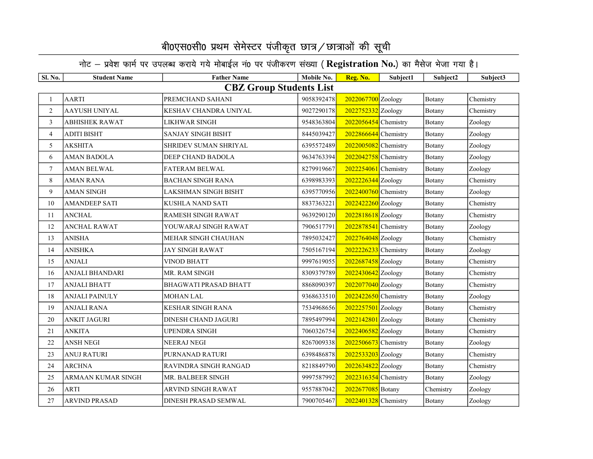| $\overline{SI}$ . No.          | <b>Student Name</b>    | <b>Father Name</b>           | Mobile No. | Reg. No.               | Subject1 | Subject2  | Subject3  |
|--------------------------------|------------------------|------------------------------|------------|------------------------|----------|-----------|-----------|
| <b>CBZ Group Students List</b> |                        |                              |            |                        |          |           |           |
| 1                              | <b>AARTI</b>           | PREMCHAND SAHANI             | 9058392478 | 2022067700 Zoology     |          | Botany    | Chemistry |
| $\overline{2}$                 | AAYUSH UNIYAL          | KESHAV CHANDRA UNIYAL        | 9027290178 | 2022752332 Zoology     |          | Botany    | Chemistry |
| 3                              | <b>ABHISHEK RAWAT</b>  | LIKHWAR SINGH                | 9548363804 | 2022056454 Chemistry   |          | Botany    | Zoology   |
| $\overline{4}$                 | <b>ADITI BISHT</b>     | <b>SANJAY SINGH BISHT</b>    | 8445039427 | $2022866644$ Chemistry |          | Botany    | Zoology   |
| 5                              | <b>AKSHITA</b>         | SHRIDEV SUMAN SHRIYAL        | 6395572489 | 2022005082 Chemistry   |          | Botany    | Zoology   |
| 6                              | <b>AMAN BADOLA</b>     | DEEP CHAND BADOLA            | 9634763394 | 2022042758 Chemistry   |          | Botany    | Zoology   |
| $\tau$                         | <b>AMAN BELWAL</b>     | <b>FATERAM BELWAL</b>        | 8279919667 | 2022254061 Chemistry   |          | Botany    | Zoology   |
| 8                              | <b>AMAN RANA</b>       | <b>BACHAN SINGH RANA</b>     | 6398983393 | 2022226344 Zoology     |          | Botany    | Chemistry |
| 9                              | <b>AMAN SINGH</b>      | LAKSHMAN SINGH BISHT         | 6395770956 | 2022400760 Chemistry   |          | Botany    | Zoology   |
| 10                             | <b>AMANDEEP SATI</b>   | KUSHLA NAND SATI             | 8837363221 | 2022422260 Zoology     |          | Botany    | Chemistry |
| 11                             | <b>ANCHAL</b>          | RAMESH SINGH RAWAT           | 9639290120 | 2022818618 Zoology     |          | Botany    | Chemistry |
| 12                             | <b>ANCHAL RAWAT</b>    | YOUWARAJ SINGH RAWAT         | 7906517791 | 2022878541 Chemistry   |          | Botany    | Zoology   |
| 13                             | <b>ANISHA</b>          | MEHAR SINGH CHAUHAN          | 7895032427 | 2022764048 Zoology     |          | Botany    | Chemistry |
| 14                             | <b>ANISHKA</b>         | <b>JAY SINGH RAWAT</b>       | 7505167194 | 2022226233 Chemistry   |          | Botany    | Zoology   |
| 15                             | <b>ANJALI</b>          | <b>VINOD BHATT</b>           | 9997619055 | 2022687458 Zoology     |          | Botany    | Chemistry |
| 16                             | <b>ANJALI BHANDARI</b> | MR. RAM SINGH                | 8309379789 | 2022430642 Zoology     |          | Botany    | Chemistry |
| 17                             | <b>ANJALI BHATT</b>    | <b>BHAGWATI PRASAD BHATT</b> | 8868090397 | 2022077040 Zoology     |          | Botany    | Chemistry |
| 18                             | <b>ANJALI PAINULY</b>  | <b>MOHAN LAL</b>             | 9368633510 | $2022422650$ Chemistry |          | Botany    | Zoology   |
| 19                             | <b>ANJALI RANA</b>     | <b>KESHAR SINGH RANA</b>     | 7534968656 | 2022257501 Zoology     |          | Botany    | Chemistry |
| 20                             | <b>ANKIT JAGURI</b>    | DINESH CHAND JAGURI          | 7895497994 | 2022142801 Zoology     |          | Botany    | Chemistry |
| 21                             | <b>ANKITA</b>          | UPENDRA SINGH                | 7060326754 | 2022406582 Zoology     |          | Botany    | Chemistry |
| 22                             | <b>ANSH NEGI</b>       | NEERAJ NEGI                  | 8267009338 | 2022506673 Chemistry   |          | Botany    | Zoology   |
| 23                             | <b>ANUJ RATURI</b>     | PURNANAD RATURI              | 6398486878 | 2022533203 Zoology     |          | Botany    | Chemistry |
| 24                             | <b>ARCHNA</b>          | <b>RAVINDRA SINGH RANGAD</b> | 8218849790 | 2022634822 Zoology     |          | Botany    | Chemistry |
| 25                             | ARMAAN KUMAR SINGH     | MR. BALBEER SINGH            | 9997587992 | 2022316354 Chemistry   |          | Botany    | Zoology   |
| 26                             | <b>ARTI</b>            | ARVIND SINGH RAWAT           | 9557887042 | 2022677085 Botany      |          | Chemistry | Zoology   |
| 27                             | <b>ARVIND PRASAD</b>   | DINESH PRASAD SEMWAL         | 7900705467 | 2022401328 Chemistry   |          | Botany    | Zoology   |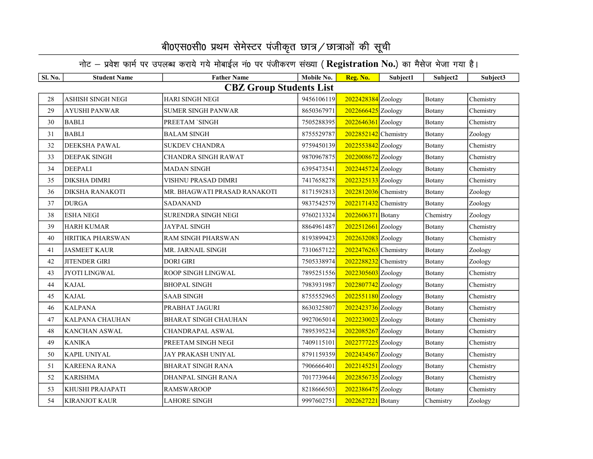| Sl. No.                        | <b>Student Name</b>    | <b>Father Name</b>           | Mobile No. | Reg. No.             | Subject1 | Subject2  | Subject3  |
|--------------------------------|------------------------|------------------------------|------------|----------------------|----------|-----------|-----------|
| <b>CBZ Group Students List</b> |                        |                              |            |                      |          |           |           |
| 28                             | ASHISH SINGH NEGI      | <b>HARI SINGH NEGI</b>       | 9456106119 | 2022428384 Zoology   |          | Botany    | Chemistry |
| 29                             | <b>AYUSHI PANWAR</b>   | <b>SUMER SINGH PANWAR</b>    | 8650367971 | $2022666425$ Zoology |          | Botany    | Chemistry |
| 30                             | <b>BABLI</b>           | PREETAM 'SINGH               | 7505288395 | 2022646361 Zoology   |          | Botany    | Chemistry |
| 31                             | <b>BABLI</b>           | <b>BALAM SINGH</b>           | 8755529787 | 2022852142 Chemistry |          | Botany    | Zoology   |
| 32                             | <b>DEEKSHA PAWAL</b>   | <b>SUKDEV CHANDRA</b>        | 9759450139 | 2022553842 Zoology   |          | Botany    | Chemistry |
| 33                             | <b>DEEPAK SINGH</b>    | <b>CHANDRA SINGH RAWAT</b>   | 9870967875 | 2022008672 Zoology   |          | Botany    | Chemistry |
| 34                             | <b>DEEPALI</b>         | <b>MADAN SINGH</b>           | 6395473541 | 2022445724 Zoology   |          | Botany    | Chemistry |
| 35                             | <b>DIKSHA DIMRI</b>    | VISHNU PRASAD DIMRI          | 7417658278 | 2022325133 Zoology   |          | Botany    | Chemistry |
| 36                             | <b>DIKSHA RANAKOTI</b> | MR. BHAGWATI PRASAD RANAKOTI | 8171592813 | 2022812036 Chemistry |          | Botany    | Zoology   |
| 37                             | <b>DURGA</b>           | <b>SADANAND</b>              | 9837542579 | 2022171432 Chemistry |          | Botany    | Zoology   |
| 38                             | <b>ESHA NEGI</b>       | <b>SURENDRA SINGH NEGI</b>   | 9760213324 | 2022606371 Botany    |          | Chemistry | Zoology   |
| 39                             | <b>HARH KUMAR</b>      | <b>JAYPAL SINGH</b>          | 8864961487 | 2022512661 Zoology   |          | Botany    | Chemistry |
| 40                             | HRITIKA PHARSWAN       | <b>RAM SINGH PHARSWAN</b>    | 8193899423 | 2022632083 Zoology   |          | Botany    | Chemistry |
| 41                             | <b>JASMEET KAUR</b>    | MR. JARNAIL SINGH            | 7310657122 | 2022476263 Chemistry |          | Botany    | Zoology   |
| 42                             | <b>JITENDER GIRI</b>   | <b>DORI GIRI</b>             | 7505338974 | 2022288232 Chemistry |          | Botany    | Zoology   |
| 43                             | <b>JYOTI LINGWAL</b>   | <b>ROOP SINGH LINGWAL</b>    | 7895251556 | 2022305603 Zoology   |          | Botany    | Chemistry |
| 44                             | <b>KAJAL</b>           | <b>BHOPAL SINGH</b>          | 7983931987 | 2022807742 Zoology   |          | Botany    | Chemistry |
| 45                             | <b>KAJAL</b>           | <b>SAAB SINGH</b>            | 8755552965 | 2022551180 Zoology   |          | Botany    | Chemistry |
| 46                             | <b>KALPANA</b>         | PRABHAT JAGURI               | 8630325807 | 2022423736 Zoology   |          | Botany    | Chemistry |
| 47                             | KALPANA CHAUHAN        | <b>BHARAT SINGH CHAUHAN</b>  | 9927065014 | 2022230023 Zoology   |          | Botany    | Chemistry |
| 48                             | <b>KANCHAN ASWAL</b>   | <b>CHANDRAPAL ASWAL</b>      | 7895395234 | 2022085267 Zoology   |          | Botany    | Chemistry |
| 49                             | <b>KANIKA</b>          | PREETAM SINGH NEGI           | 7409115101 | 2022777225 Zoology   |          | Botany    | Chemistry |
| 50                             | <b>KAPIL UNIYAL</b>    | <b>JAY PRAKASH UNIYAL</b>    | 8791159359 | 2022434567 Zoology   |          | Botany    | Chemistry |
| 51                             | <b>KAREENA RANA</b>    | <b>BHARAT SINGH RANA</b>     | 7906666401 | 2022145251 Zoology   |          | Botany    | Chemistry |
| 52                             | <b>KARISHMA</b>        | DHANPAL SINGH RANA           | 7017739644 | 2022856735 Zoology   |          | Botany    | Chemistry |
| 53                             | KHUSHI PRAJAPATI       | <b>RAMSWAROOP</b>            | 8218666503 | 2022386475 Zoology   |          | Botany    | Chemistry |
| 54                             | <b>KIRANJOT KAUR</b>   | <b>LAHORE SINGH</b>          | 9997602751 | 2022627221 Botany    |          | Chemistry | Zoology   |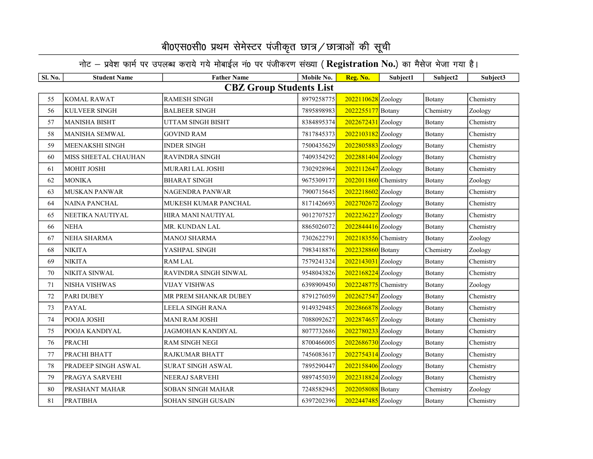| $\overline{SI}$ . No.          | <b>Student Name</b>   | <b>Father Name</b>       | Mobile No. | Reg. No.             | Subject1 | Subject2  | Subject3  |
|--------------------------------|-----------------------|--------------------------|------------|----------------------|----------|-----------|-----------|
| <b>CBZ Group Students List</b> |                       |                          |            |                      |          |           |           |
| 55                             | <b>KOMAL RAWAT</b>    | <b>RAMESH SINGH</b>      | 8979258775 | 2022110628 Zoology   |          | Botany    | Chemistry |
| 56                             | <b>KULVEER SINGH</b>  | <b>BALBEER SINGH</b>     | 7895898983 | 2022255177 Botany    |          | Chemistry | Zoology   |
| 57                             | <b>MANISHA BISHT</b>  | UTTAM SINGH BISHT        | 8384895374 | 2022672431 Zoology   |          | Botany    | Chemistry |
| 58                             | <b>MANISHA SEMWAL</b> | <b>GOVIND RAM</b>        | 7817845373 | 2022103182 Zoology   |          | Botany    | Chemistry |
| 59                             | MEENAKSHI SINGH       | <b>INDER SINGH</b>       | 7500435629 | 2022805883 Zoology   |          | Botany    | Chemistry |
| 60                             | MISS SHEETAL CHAUHAN  | RAVINDRA SINGH           | 7409354292 | 2022881404 Zoology   |          | Botany    | Chemistry |
| 61                             | MOHIT JOSHI           | MURARI LAL JOSHI         | 7302928964 | 2022112647 Zoology   |          | Botany    | Chemistry |
| 62                             | <b>MONIKA</b>         | <b>BHARAT SINGH</b>      | 9675309177 | 2022011860 Chemistry |          | Botany    | Zoology   |
| 63                             | <b>MUSKAN PANWAR</b>  | <b>NAGENDRA PANWAR</b>   | 7900715645 | 2022218602 Zoology   |          | Botany    | Chemistry |
| 64                             | <b>NAINA PANCHAL</b>  | MUKESH KUMAR PANCHAL     | 8171426693 | 2022702672 Zoology   |          | Botany    | Chemistry |
| 65                             | NEETIKA NAUTIYAL      | HIRA MANI NAUTIYAL       | 9012707527 | 2022236227 Zoology   |          | Botany    | Chemistry |
| 66                             | <b>NEHA</b>           | MR. KUNDAN LAL           | 8865026072 | 2022844416 Zoology   |          | Botany    | Chemistry |
| 67                             | <b>NEHA SHARMA</b>    | <b>MANOJ SHARMA</b>      | 7302622791 | 2022183556 Chemistry |          | Botany    | Zoology   |
| 68                             | <b>NIKITA</b>         | YASHPAL SINGH            | 7983418876 | 2022328860 Botany    |          | Chemistry | Zoology   |
| 69                             | <b>NIKITA</b>         | <b>RAM LAL</b>           | 7579241324 | 2022143031 Zoology   |          | Botany    | Chemistry |
| 70                             | <b>NIKITA SINWAL</b>  | RAVINDRA SINGH SINWAL    | 9548043826 | 2022168224 Zoology   |          | Botany    | Chemistry |
| 71                             | NISHA VISHWAS         | VIJAY VISHWAS            | 6398909450 | 2022248775 Chemistry |          | Botany    | Zoology   |
| 72                             | <b>PARI DUBEY</b>     | MR PREM SHANKAR DUBEY    | 8791276059 | 2022627547 Zoology   |          | Botany    | Chemistry |
| 73                             | <b>PAYAL</b>          | LEELA SINGH RANA         | 9149329485 | 2022866878 Zoology   |          | Botany    | Chemistry |
| 74                             | POOJA JOSHI           | MANI RAM JOSHI           | 7088092627 | 2022874657 Zoology   |          | Botany    | Chemistry |
| 75                             | POOJA KANDIYAL        | <b>JAGMOHAN KANDIYAL</b> | 8077732686 | 2022780233 Zoology   |          | Botany    | Chemistry |
| 76                             | <b>PRACHI</b>         | <b>RAM SINGH NEGI</b>    | 8700466005 | 2022686730 Zoology   |          | Botany    | Chemistry |
| 77                             | PRACHI BHATT          | <b>RAJKUMAR BHATT</b>    | 7456083617 | 2022754314 Zoology   |          | Botany    | Chemistry |
| 78                             | PRADEEP SINGH ASWAL   | <b>SURAT SINGH ASWAL</b> | 7895290447 | 2022158406 Zoology   |          | Botany    | Chemistry |
| 79                             | PRAGYA SARVEHI        | NEERAJ SARVEHI           | 9897455039 | 2022318824 Zoology   |          | Botany    | Chemistry |
| 80                             | PRASHANT MAHAR        | <b>SOBAN SINGH MAHAR</b> | 7248582945 | 2022058088 Botany    |          | Chemistry | Zoology   |
| 81                             | <b>PRATIBHA</b>       | SOHAN SINGH GUSAIN       | 6397202396 | 2022447485 Zoology   |          | Botany    | Chemistry |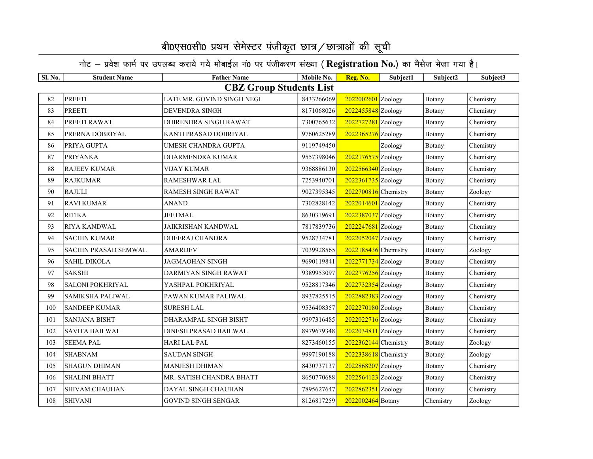| Sl. No.                        | <b>Student Name</b>     | <b>Father Name</b>         | Mobile No. | Reg. No.               | Subject1 | Subject2  | Subject3  |
|--------------------------------|-------------------------|----------------------------|------------|------------------------|----------|-----------|-----------|
| <b>CBZ Group Students List</b> |                         |                            |            |                        |          |           |           |
| 82                             | <b>PREETI</b>           | LATE MR. GOVIND SINGH NEGI | 8433266069 | 2022002601 Zoology     |          | Botany    | Chemistry |
| 83                             | <b>PREETI</b>           | <b>DEVENDRA SINGH</b>      | 8171068026 | 2022455848 Zoology     |          | Botany    | Chemistry |
| 84                             | PREETI RAWAT            | DHIRENDRA SINGH RAWAT      | 7300765632 | 2022727281 Zoology     |          | Botany    | Chemistry |
| 85                             | PRERNA DOBRIYAL         | KANTI PRASAD DOBRIYAL      | 9760625289 | 2022365276 Zoology     |          | Botany    | Chemistry |
| 86                             | PRIYA GUPTA             | UMESH CHANDRA GUPTA        | 9119749450 |                        | Zoology  | Botany    | Chemistry |
| 87                             | <b>PRIYANKA</b>         | <b>DHARMENDRA KUMAR</b>    | 9557398046 | 2022176575 Zoology     |          | Botany    | Chemistry |
| 88                             | <b>RAJEEV KUMAR</b>     | <b>VIJAY KUMAR</b>         | 9368886130 | 2022566340 Zoology     |          | Botany    | Chemistry |
| 89                             | <b>RAJKUMAR</b>         | RAMESHWAR LAL              | 7253940701 | 2022361735 Zoology     |          | Botany    | Chemistry |
| 90                             | <b>RAJULI</b>           | <b>RAMESH SINGH RAWAT</b>  | 9027395345 | $2022700816$ Chemistry |          | Botany    | Zoology   |
| 91                             | <b>RAVI KUMAR</b>       | <b>ANAND</b>               | 7302828142 | 2022014601 Zoology     |          | Botany    | Chemistry |
| 92                             | <b>RITIKA</b>           | <b>JEETMAL</b>             | 8630319691 | 2022387037 Zoology     |          | Botany    | Chemistry |
| 93                             | <b>RIYA KANDWAL</b>     | <b>JAIKRISHAN KANDWAL</b>  | 7817839736 | 2022247681 Zoology     |          | Botany    | Chemistry |
| 94                             | <b>SACHIN KUMAR</b>     | <b>DHEERAJ CHANDRA</b>     | 9528734781 | 2022052047 Zoology     |          | Botany    | Chemistry |
| 95                             | SACHIN PRASAD SEMWAL    | <b>AMARDEV</b>             | 7039928565 | 2022185436 Chemistry   |          | Botany    | Zoology   |
| 96                             | <b>SAHIL DIKOLA</b>     | <b>JAGMAOHAN SINGH</b>     | 9690119841 | 2022771734 Zoology     |          | Botany    | Chemistry |
| 97                             | <b>SAKSHI</b>           | DARMIYAN SINGH RAWAT       | 9389953097 | 2022776256 Zoology     |          | Botany    | Chemistry |
| 98                             | <b>SALONI POKHRIYAL</b> | YASHPAL POKHRIYAL          | 9528817346 | 2022732354 Zoology     |          | Botany    | Chemistry |
| 99                             | <b>SAMIKSHA PALIWAL</b> | PAWAN KUMAR PALIWAL        | 8937825515 | 2022882383 Zoology     |          | Botany    | Chemistry |
| 100                            | <b>SANDEEP KUMAR</b>    | <b>SURESH LAL</b>          | 9536408357 | 2022270180 Zoology     |          | Botany    | Chemistry |
| 101                            | <b>SANJANA BISHT</b>    | DHARAMPAL SINGH BISHT      | 9997316485 | 2022022716 Zoology     |          | Botany    | Chemistry |
| 102                            | <b>SAVITA BAILWAL</b>   | DINESH PRASAD BAILWAL      | 8979679348 | 2022034811 Zoology     |          | Botany    | Chemistry |
| 103                            | <b>SEEMA PAL</b>        | <b>HARI LAL PAL</b>        | 8273460155 | 2022362144 Chemistry   |          | Botany    | Zoology   |
| 104                            | <b>SHABNAM</b>          | <b>SAUDAN SINGH</b>        | 9997190188 | 2022338618 Chemistry   |          | Botany    | Zoology   |
| 105                            | <b>SHAGUN DHIMAN</b>    | <b>MANJESH DHIMAN</b>      | 8430737137 | 2022868207 Zoology     |          | Botany    | Chemistry |
| 106                            | <b>SHALINI BHATT</b>    | MR. SATISH CHANDRA BHATT   | 8650770688 | 2022564123 Zoology     |          | Botany    | Chemistry |
| 107                            | SHIVAM CHAUHAN          | DAYAL SINGH CHAUHAN        | 7895627647 | 2022862351 Zoology     |          | Botany    | Chemistry |
| 108                            | <b>SHIVANI</b>          | <b>GOVIND SINGH SENGAR</b> | 8126817259 | 2022002464 Botany      |          | Chemistry | Zoology   |